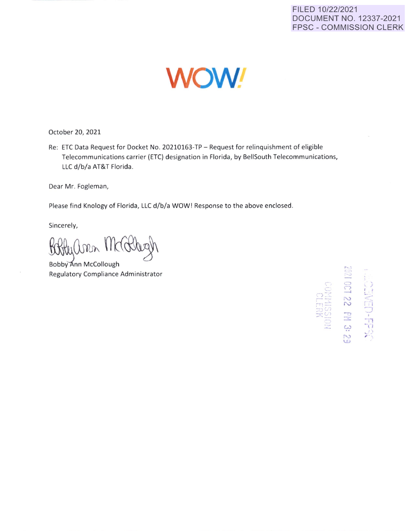## FILED 10/22/2021 **DOCUMENT NO. 12337-2021 FPSC - COMMISSION CLERK**



October 20, 2021

Re: ETC Data Request for Docket No. 20210163-TP - Request for relinquishment of eligible Telecommunications carrier (ETC) designation in Florida, by BellSouth Telecommunications, LLC d/b/a AT&T Florida.

Dear Mr. Fogleman,

Please find Knology of Florida, LLC d/b/a WOW! Response to the above enclosed.

Sincerely,

ann Marthy

Bobby Ann McCollough Regulatory Compliance Administrator

OCT 22 PM 3: 29 **SSGH-UBAE**